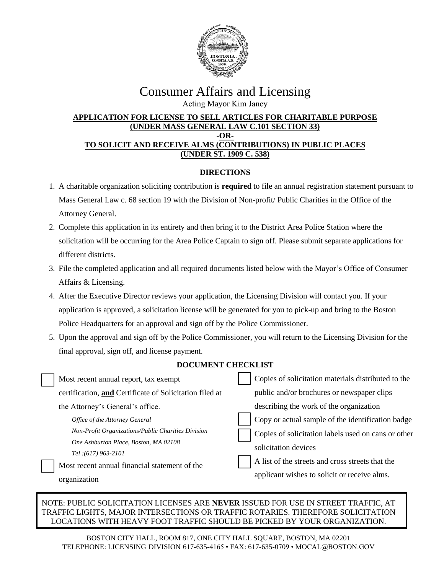

# Consumer Affairs and Licensing

Acting Mayor Kim Janey

#### **APPLICATION FOR LICENSE TO SELL ARTICLES FOR CHARITABLE PURPOSE (UNDER MASS GENERAL LAW C.101 SECTION 33) -OR-TO SOLICIT AND RECEIVE ALMS (CONTRIBUTIONS) IN PUBLIC PLACES (UNDER ST. 1909 C. 538)**

### **DIRECTIONS**

- 1. A charitable organization soliciting contribution is **required** to file an annual registration statement pursuant to Mass General Law c. 68 section 19 with the Division of Non-profit/ Public Charities in the Office of the Attorney General.
- 2. Complete this application in its entirety and then bring it to the District Area Police Station where the solicitation will be occurring for the Area Police Captain to sign off. Please submit separate applications for different districts.
- 3. File the completed application and all required documents listed below with the Mayor's Office of Consumer Affairs & Licensing.
- 4. After the Executive Director reviews your application, the Licensing Division will contact you. If your application is approved, a solicitation license will be generated for you to pick-up and bring to the Boston Police Headquarters for an approval and sign off by the Police Commissioner.
- 5. Upon the approval and sign off by the Police Commissioner, you will return to the Licensing Division for the final approval, sign off, and license payment.

| Most recent annual report, tax exempt                   | Copies of solicitation materials distributed to the |
|---------------------------------------------------------|-----------------------------------------------------|
| certification, and Certificate of Solicitation filed at | public and/or brochures or newspaper clips          |
| the Attorney's General's office.                        | describing the work of the organization             |
| Office of the Attorney General                          | Copy or actual sample of the identification badge   |
| Non-Profit Organizations/Public Charities Division      | Copies of solicitation labels used on cans or other |
| One Ashburton Place, Boston, MA 02108                   | solicitation devices                                |
| $Tel:(617) 963-2101$                                    | A list of the streets and cross streets that the    |
| Most recent annual financial statement of the           |                                                     |
| organization                                            | applicant wishes to solicit or receive alms.        |
|                                                         |                                                     |

#### NOTE: PUBLIC SOLICITATION LICENSES ARE **NEVER** ISSUED FOR USE IN STREET TRAFFIC, AT TRAFFIC LIGHTS, MAJOR INTERSECTIONS OR TRAFFIC ROTARIES. THEREFORE SOLICITATION LOCATIONS WITH HEAVY FOOT TRAFFIC SHOULD BE PICKED BY YOUR ORGANIZATION.

BOSTON CITY HALL, ROOM 817, ONE CITY HALL SQUARE, BOSTON, MA 02201 TELEPHONE: LICENSING DIVISION 617-635-4165 • FAX: 617-635-0709 • MOCAL@BOSTON.GOV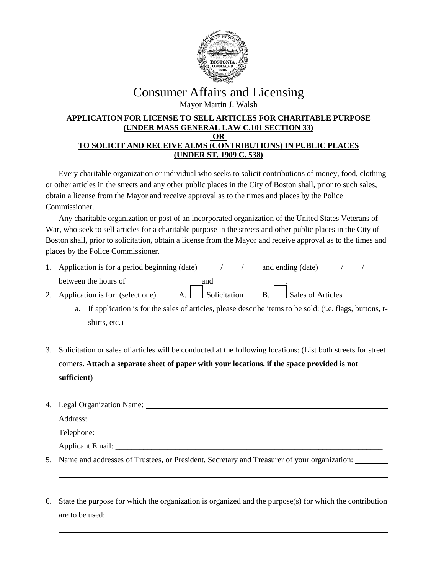

## Consumer Affairs and Licensing Mayor Martin J. Walsh

#### **APPLICATION FOR LICENSE TO SELL ARTICLES FOR CHARITABLE PURPOSE (UNDER MASS GENERAL LAW C.101 SECTION 33) -OR-TO SOLICIT AND RECEIVE ALMS (CONTRIBUTIONS) IN PUBLIC PLACES (UNDER ST. 1909 C. 538)**

Every charitable organization or individual who seeks to solicit contributions of money, food, clothing or other articles in the streets and any other public places in the City of Boston shall, prior to such sales, obtain a license from the Mayor and receive approval as to the times and places by the Police Commissioner.

Any charitable organization or post of an incorporated organization of the United States Veterans of War, who seek to sell articles for a charitable purpose in the streets and other public places in the City of Boston shall, prior to solicitation, obtain a license from the Mayor and receive approval as to the times and places by the Police Commissioner.

- 1. Application is for a period beginning (date)  $/$  / and ending (date)  $/$ between the hours of and  $\alpha$
- 2. Application is for: (select one)  $\overline{A}$ .  $\overline{A}$  Solicitation  $\overline{B}$ .  $\overline{A}$  Sales of Articles

l

l l

l

- a. If application is for the sales of articles, please describe items to be sold: (i.e. flags, buttons, tshirts, etc.)
- 3. Solicitation or sales of articles will be conducted at the following locations: (List both streets for street corners**. Attach a separate sheet of paper with your locations, if the space provided is not sufficient**)
- l 4. Legal Organization Name: Address: and the state of the state of the state of the state of the state of the state of the state of the state of the state of the state of the state of the state of the state of the state of the state of the state of t Telephone: The same state of the state of the state of the state of the state of the state of the state of the state of the state of the state of the state of the state of the state of the state of the state of the state o Applicant Email: \_\_\_\_\_\_\_\_\_\_\_\_\_\_\_\_\_\_\_\_\_\_\_\_\_\_\_\_\_\_\_\_\_\_\_\_\_\_\_\_\_\_\_\_\_\_\_\_\_\_\_\_\_\_\_\_\_\_\_\_\_\_\_\_\_\_\_

5. Name and addresses of Trustees, or President, Secretary and Treasurer of your organization:

6. State the purpose for which the organization is organized and the purpose(s) for which the contribution are to be used: